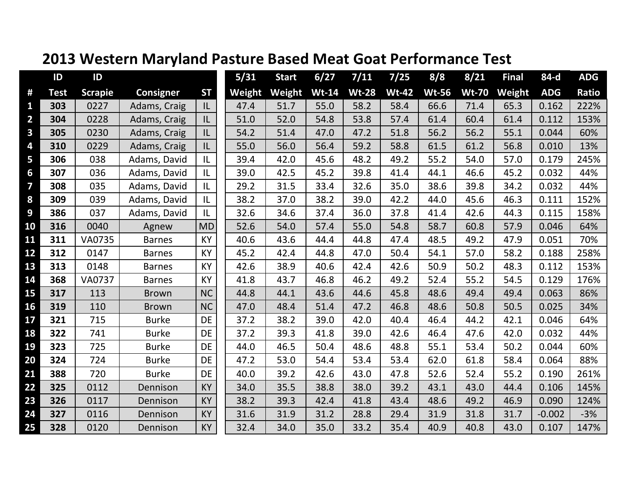|                         | ID          | ID             |                  |           | 5/31   | <b>Start</b> | 6/27         | 7/11         | 7/25         | 8/8          | 8/21         | <b>Final</b> | 84-d       | <b>ADG</b> |
|-------------------------|-------------|----------------|------------------|-----------|--------|--------------|--------------|--------------|--------------|--------------|--------------|--------------|------------|------------|
| #                       | <b>Test</b> | <b>Scrapie</b> | <b>Consigner</b> | <b>ST</b> | Weight | Weight       | <b>Wt-14</b> | <b>Wt-28</b> | <b>Wt-42</b> | <b>Wt-56</b> | <b>Wt-70</b> | Weight       | <b>ADG</b> | Ratio      |
| 1                       | 303         | 0227           | Adams, Craig     | IL        | 47.4   | 51.7         | 55.0         | 58.2         | 58.4         | 66.6         | 71.4         | 65.3         | 0.162      | 222%       |
| $\overline{2}$          | 304         | 0228           | Adams, Craig     | IL        | 51.0   | 52.0         | 54.8         | 53.8         | 57.4         | 61.4         | 60.4         | 61.4         | 0.112      | 153%       |
| $\overline{\mathbf{3}}$ | 305         | 0230           | Adams, Craig     | IL        | 54.2   | 51.4         | 47.0         | 47.2         | 51.8         | 56.2         | 56.2         | 55.1         | 0.044      | 60%        |
| 4                       | 310         | 0229           | Adams, Craig     | IL        | 55.0   | 56.0         | 56.4         | 59.2         | 58.8         | 61.5         | 61.2         | 56.8         | 0.010      | 13%        |
| 5                       | 306         | 038            | Adams, David     | IL        | 39.4   | 42.0         | 45.6         | 48.2         | 49.2         | 55.2         | 54.0         | 57.0         | 0.179      | 245%       |
| 6                       | 307         | 036            | Adams, David     | L         | 39.0   | 42.5         | 45.2         | 39.8         | 41.4         | 44.1         | 46.6         | 45.2         | 0.032      | 44%        |
| $\overline{\mathbf{z}}$ | 308         | 035            | Adams, David     | IL        | 29.2   | 31.5         | 33.4         | 32.6         | 35.0         | 38.6         | 39.8         | 34.2         | 0.032      | 44%        |
| 8                       | 309         | 039            | Adams, David     | IL        | 38.2   | 37.0         | 38.2         | 39.0         | 42.2         | 44.0         | 45.6         | 46.3         | 0.111      | 152%       |
| 9                       | 386         | 037            | Adams, David     | IL        | 32.6   | 34.6         | 37.4         | 36.0         | 37.8         | 41.4         | 42.6         | 44.3         | 0.115      | 158%       |
| 10                      | 316         | 0040           | Agnew            | <b>MD</b> | 52.6   | 54.0         | 57.4         | 55.0         | 54.8         | 58.7         | 60.8         | 57.9         | 0.046      | 64%        |
| 11                      | 311         | VA0735         | <b>Barnes</b>    | KY        | 40.6   | 43.6         | 44.4         | 44.8         | 47.4         | 48.5         | 49.2         | 47.9         | 0.051      | 70%        |
| 12                      | 312         | 0147           | <b>Barnes</b>    | <b>KY</b> | 45.2   | 42.4         | 44.8         | 47.0         | 50.4         | 54.1         | 57.0         | 58.2         | 0.188      | 258%       |
| 13                      | 313         | 0148           | <b>Barnes</b>    | KY        | 42.6   | 38.9         | 40.6         | 42.4         | 42.6         | 50.9         | 50.2         | 48.3         | 0.112      | 153%       |
| 14                      | 368         | <b>VA0737</b>  | <b>Barnes</b>    | <b>KY</b> | 41.8   | 43.7         | 46.8         | 46.2         | 49.2         | 52.4         | 55.2         | 54.5         | 0.129      | 176%       |
| 15                      | 317         | 113            | <b>Brown</b>     | <b>NC</b> | 44.8   | 44.1         | 43.6         | 44.6         | 45.8         | 48.6         | 49.4         | 49.4         | 0.063      | 86%        |
| 16                      | 319         | 110            | <b>Brown</b>     | <b>NC</b> | 47.0   | 48.4         | 51.4         | 47.2         | 46.8         | 48.6         | 50.8         | 50.5         | 0.025      | 34%        |
| 17                      | 321         | 715            | <b>Burke</b>     | DE        | 37.2   | 38.2         | 39.0         | 42.0         | 40.4         | 46.4         | 44.2         | 42.1         | 0.046      | 64%        |
| 18                      | 322         | 741            | <b>Burke</b>     | DE        | 37.2   | 39.3         | 41.8         | 39.0         | 42.6         | 46.4         | 47.6         | 42.0         | 0.032      | 44%        |
| 19                      | 323         | 725            | <b>Burke</b>     | <b>DE</b> | 44.0   | 46.5         | 50.4         | 48.6         | 48.8         | 55.1         | 53.4         | 50.2         | 0.044      | 60%        |
| 20                      | 324         | 724            | <b>Burke</b>     | DE        | 47.2   | 53.0         | 54.4         | 53.4         | 53.4         | 62.0         | 61.8         | 58.4         | 0.064      | 88%        |
| 21                      | 388         | 720            | <b>Burke</b>     | <b>DE</b> | 40.0   | 39.2         | 42.6         | 43.0         | 47.8         | 52.6         | 52.4         | 55.2         | 0.190      | 261%       |
| 22                      | 325         | 0112           | Dennison         | KY        | 34.0   | 35.5         | 38.8         | 38.0         | 39.2         | 43.1         | 43.0         | 44.4         | 0.106      | 145%       |
| 23                      | 326         | 0117           | Dennison         | <b>KY</b> | 38.2   | 39.3         | 42.4         | 41.8         | 43.4         | 48.6         | 49.2         | 46.9         | 0.090      | 124%       |
| 24                      | 327         | 0116           | Dennison         | KY        | 31.6   | 31.9         | 31.2         | 28.8         | 29.4         | 31.9         | 31.8         | 31.7         | $-0.002$   | $-3%$      |
| 25                      | 328         | 0120           | Dennison         | KY        | 32.4   | 34.0         | 35.0         | 33.2         | 35.4         | 40.9         | 40.8         | 43.0         | 0.107      | 147%       |

## **2013 Western Maryland Pasture Based Meat Goat Performance Test**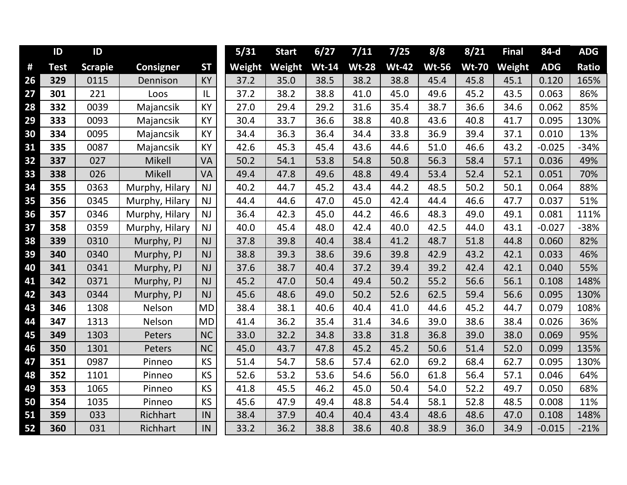|    | ID          | ID             |                  |           | 5/31   | <b>Start</b> | 6/27         | 7/11         | 7/25         | 8/8          | $8/21$       | <b>Final</b> | 84-d       | <b>ADG</b> |
|----|-------------|----------------|------------------|-----------|--------|--------------|--------------|--------------|--------------|--------------|--------------|--------------|------------|------------|
| #  | <b>Test</b> | <b>Scrapie</b> | <b>Consigner</b> | <b>ST</b> | Weight | Weight       | <b>Wt-14</b> | <b>Wt-28</b> | <b>Wt-42</b> | <b>Wt-56</b> | <b>Wt-70</b> | Weight       | <b>ADG</b> | Ratio      |
| 26 | 329         | 0115           | Dennison         | <b>KY</b> | 37.2   | 35.0         | 38.5         | 38.2         | 38.8         | 45.4         | 45.8         | 45.1         | 0.120      | 165%       |
| 27 | 301         | 221            | Loos             | L         | 37.2   | 38.2         | 38.8         | 41.0         | 45.0         | 49.6         | 45.2         | 43.5         | 0.063      | 86%        |
| 28 | 332         | 0039           | Majancsik        | <b>KY</b> | 27.0   | 29.4         | 29.2         | 31.6         | 35.4         | 38.7         | 36.6         | 34.6         | 0.062      | 85%        |
| 29 | 333         | 0093           | Majancsik        | KY        | 30.4   | 33.7         | 36.6         | 38.8         | 40.8         | 43.6         | 40.8         | 41.7         | 0.095      | 130%       |
| 30 | 334         | 0095           | Majancsik        | <b>KY</b> | 34.4   | 36.3         | 36.4         | 34.4         | 33.8         | 36.9         | 39.4         | 37.1         | 0.010      | 13%        |
| 31 | 335         | 0087           | Majancsik        | KY        | 42.6   | 45.3         | 45.4         | 43.6         | 44.6         | 51.0         | 46.6         | 43.2         | $-0.025$   | $-34%$     |
| 32 | 337         | 027            | Mikell           | VA        | 50.2   | 54.1         | 53.8         | 54.8         | 50.8         | 56.3         | 58.4         | 57.1         | 0.036      | 49%        |
| 33 | 338         | 026            | Mikell           | VA        | 49.4   | 47.8         | 49.6         | 48.8         | 49.4         | 53.4         | 52.4         | 52.1         | 0.051      | 70%        |
| 34 | 355         | 0363           | Murphy, Hilary   | NJ        | 40.2   | 44.7         | 45.2         | 43.4         | 44.2         | 48.5         | 50.2         | 50.1         | 0.064      | 88%        |
| 35 | 356         | 0345           | Murphy, Hilary   | <b>NJ</b> | 44.4   | 44.6         | 47.0         | 45.0         | 42.4         | 44.4         | 46.6         | 47.7         | 0.037      | 51%        |
| 36 | 357         | 0346           | Murphy, Hilary   | <b>NJ</b> | 36.4   | 42.3         | 45.0         | 44.2         | 46.6         | 48.3         | 49.0         | 49.1         | 0.081      | 111%       |
| 37 | 358         | 0359           | Murphy, Hilary   | <b>NJ</b> | 40.0   | 45.4         | 48.0         | 42.4         | 40.0         | 42.5         | 44.0         | 43.1         | $-0.027$   | $-38%$     |
| 38 | 339         | 0310           | Murphy, PJ       | <b>NJ</b> | 37.8   | 39.8         | 40.4         | 38.4         | 41.2         | 48.7         | 51.8         | 44.8         | 0.060      | 82%        |
| 39 | 340         | 0340           | Murphy, PJ       | <b>NJ</b> | 38.8   | 39.3         | 38.6         | 39.6         | 39.8         | 42.9         | 43.2         | 42.1         | 0.033      | 46%        |
| 40 | 341         | 0341           | Murphy, PJ       | <b>NJ</b> | 37.6   | 38.7         | 40.4         | 37.2         | 39.4         | 39.2         | 42.4         | 42.1         | 0.040      | 55%        |
| 41 | 342         | 0371           | Murphy, PJ       | <b>NJ</b> | 45.2   | 47.0         | 50.4         | 49.4         | 50.2         | 55.2         | 56.6         | 56.1         | 0.108      | 148%       |
| 42 | 343         | 0344           | Murphy, PJ       | <b>NJ</b> | 45.6   | 48.6         | 49.0         | 50.2         | 52.6         | 62.5         | 59.4         | 56.6         | 0.095      | 130%       |
| 43 | 346         | 1308           | Nelson           | <b>MD</b> | 38.4   | 38.1         | 40.6         | 40.4         | 41.0         | 44.6         | 45.2         | 44.7         | 0.079      | 108%       |
| 44 | 347         | 1313           | Nelson           | <b>MD</b> | 41.4   | 36.2         | 35.4         | 31.4         | 34.6         | 39.0         | 38.6         | 38.4         | 0.026      | 36%        |
| 45 | 349         | 1303           | Peters           | <b>NC</b> | 33.0   | 32.2         | 34.8         | 33.8         | 31.8         | 36.8         | 39.0         | 38.0         | 0.069      | 95%        |
| 46 | 350         | 1301           | Peters           | <b>NC</b> | 45.0   | 43.7         | 47.8         | 45.2         | 45.2         | 50.6         | 51.4         | 52.0         | 0.099      | 135%       |
| 47 | 351         | 0987           | Pinneo           | KS        | 51.4   | 54.7         | 58.6         | 57.4         | 62.0         | 69.2         | 68.4         | 62.7         | 0.095      | 130%       |
| 48 | 352         | 1101           | Pinneo           | <b>KS</b> | 52.6   | 53.2         | 53.6         | 54.6         | 56.0         | 61.8         | 56.4         | 57.1         | 0.046      | 64%        |
| 49 | 353         | 1065           | Pinneo           | KS        | 41.8   | 45.5         | 46.2         | 45.0         | 50.4         | 54.0         | 52.2         | 49.7         | 0.050      | 68%        |
| 50 | 354         | 1035           | Pinneo           | <b>KS</b> | 45.6   | 47.9         | 49.4         | 48.8         | 54.4         | 58.1         | 52.8         | 48.5         | 0.008      | 11%        |
| 51 | 359         | 033            | Richhart         | IN        | 38.4   | 37.9         | 40.4         | 40.4         | 43.4         | 48.6         | 48.6         | 47.0         | 0.108      | 148%       |
| 52 | 360         | 031            | Richhart         | IN        | 33.2   | 36.2         | 38.8         | 38.6         | 40.8         | 38.9         | 36.0         | 34.9         | $-0.015$   | $-21%$     |